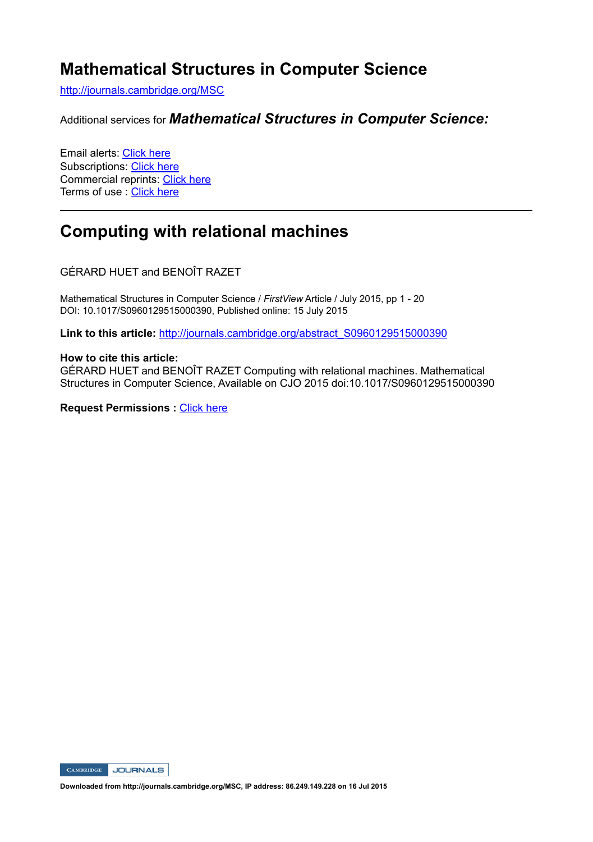# **Mathematical Structures in Computer Science**

http://journals.cambridge.org/MSC

Additional services for *Mathematical Structures in Computer Science:*

Email alerts: Click here Subscriptions: Click here Commercial reprints: Click here Terms of use : Click here

## **Computing with relational machines**

GÉRARD HUET and BENOÎT RAZET

Mathematical Structures in Computer Science / *FirstView* Article / July 2015, pp 1 - 20 DOI: 10.1017/S0960129515000390, Published online: 15 July 2015

**Link to this article:** http://journals.cambridge.org/abstract\_S0960129515000390

#### **How to cite this article:**

GÉRARD HUET and BENOÎT RAZET Computing with relational machines. Mathematical Structures in Computer Science, Available on CJO 2015 doi:10.1017/S0960129515000390

**Request Permissions :** Click here



**Downloaded from http://journals.cambridge.org/MSC, IP address: 86.249.149.228 on 16 Jul 2015**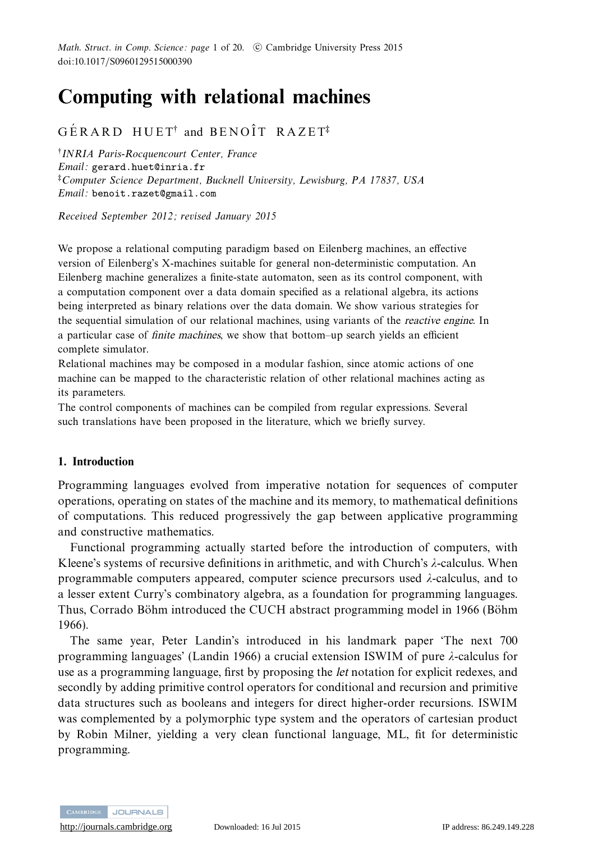Math. Struct. in Comp. Science: page 1 of 20.  $\,$  C Cambridge University Press 2015 doi:10.1017/S0960129515000390

# **Computing with relational machines**

## $G\,\rm \acute{E}\,R\, A\,R\,D$   $H\,U\,E\,T^\dagger$  and  $B\,E\,N\,O\,\rm \hat{I}\,T$   $R\,A\,Z\,E\,T^\ddagger$

†INRIA Paris-Rocquencourt Center, France Email: gerard.huet@inria.fr ‡Computer Science Department, Bucknell University, Lewisburg, PA 17837, USA Email: benoit.razet@gmail.com

Received September 2012; revised January 2015

We propose a relational computing paradigm based on Eilenberg machines, an effective version of Eilenberg's X-machines suitable for general non-deterministic computation. An Eilenberg machine generalizes a finite-state automaton, seen as its control component, with a computation component over a data domain specified as a relational algebra, its actions being interpreted as binary relations over the data domain. We show various strategies for the sequential simulation of our relational machines, using variants of the *reactive engine*. In a particular case of *finite machines*, we show that bottom–up search yields an efficient complete simulator.

Relational machines may be composed in a modular fashion, since atomic actions of one machine can be mapped to the characteristic relation of other relational machines acting as its parameters.

The control components of machines can be compiled from regular expressions. Several such translations have been proposed in the literature, which we briefly survey.

#### **1. Introduction**

Programming languages evolved from imperative notation for sequences of computer operations, operating on states of the machine and its memory, to mathematical definitions of computations. This reduced progressively the gap between applicative programming and constructive mathematics.

Functional programming actually started before the introduction of computers, with Kleene's systems of recursive definitions in arithmetic, and with Church's *λ*-calculus. When programmable computers appeared, computer science precursors used *λ*-calculus, and to a lesser extent Curry's combinatory algebra, as a foundation for programming languages. Thus, Corrado Böhm introduced the CUCH abstract programming model in 1966 (Böhm 1966).

The same year, Peter Landin's introduced in his landmark paper 'The next 700 programming languages' (Landin 1966) a crucial extension ISWIM of pure *λ*-calculus for use as a programming language, first by proposing the *let* notation for explicit redexes, and secondly by adding primitive control operators for conditional and recursion and primitive data structures such as booleans and integers for direct higher-order recursions. ISWIM was complemented by a polymorphic type system and the operators of cartesian product by Robin Milner, yielding a very clean functional language, ML, fit for deterministic programming.



<http://journals.cambridge.org> Downloaded: 16 Jul 2015 IP address: 86.249.149.228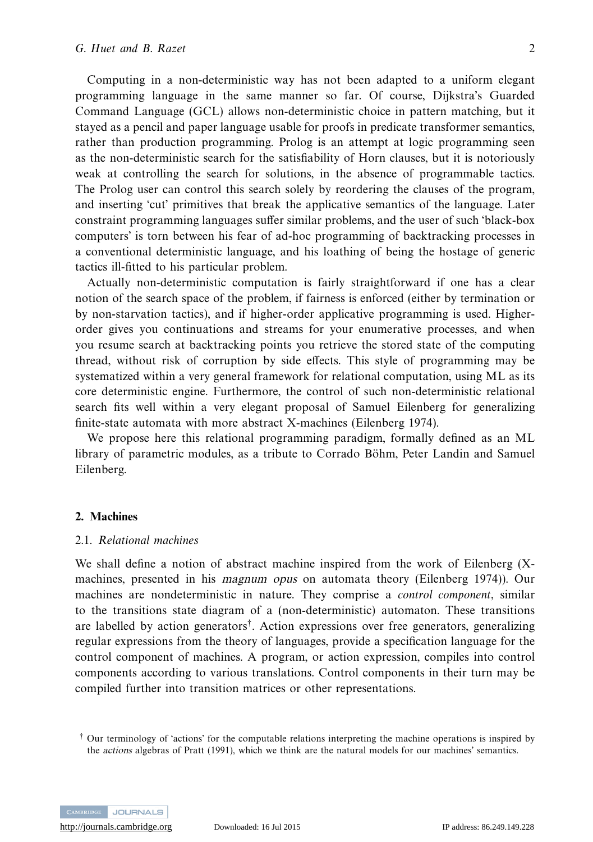Computing in a non-deterministic way has not been adapted to a uniform elegant programming language in the same manner so far. Of course, Dijkstra's Guarded Command Language (GCL) allows non-deterministic choice in pattern matching, but it stayed as a pencil and paper language usable for proofs in predicate transformer semantics, rather than production programming. Prolog is an attempt at logic programming seen as the non-deterministic search for the satisfiability of Horn clauses, but it is notoriously weak at controlling the search for solutions, in the absence of programmable tactics. The Prolog user can control this search solely by reordering the clauses of the program, and inserting 'cut' primitives that break the applicative semantics of the language. Later constraint programming languages suffer similar problems, and the user of such 'black-box computers' is torn between his fear of ad-hoc programming of backtracking processes in a conventional deterministic language, and his loathing of being the hostage of generic tactics ill-fitted to his particular problem.

Actually non-deterministic computation is fairly straightforward if one has a clear notion of the search space of the problem, if fairness is enforced (either by termination or by non-starvation tactics), and if higher-order applicative programming is used. Higherorder gives you continuations and streams for your enumerative processes, and when you resume search at backtracking points you retrieve the stored state of the computing thread, without risk of corruption by side effects. This style of programming may be systematized within a very general framework for relational computation, using ML as its core deterministic engine. Furthermore, the control of such non-deterministic relational search fits well within a very elegant proposal of Samuel Eilenberg for generalizing finite-state automata with more abstract X-machines (Eilenberg 1974).

We propose here this relational programming paradigm, formally defined as an ML library of parametric modules, as a tribute to Corrado Böhm, Peter Landin and Samuel Eilenberg.

#### **2. Machines**

#### 2.1. Relational machines

We shall define a notion of abstract machine inspired from the work of Eilenberg (Xmachines, presented in his *magnum opus* on automata theory (Eilenberg 1974)). Our machines are nondeterministic in nature. They comprise a control component, similar to the transitions state diagram of a (non-deterministic) automaton. These transitions are labelled by action generators†. Action expressions over free generators, generalizing regular expressions from the theory of languages, provide a specification language for the control component of machines. A program, or action expression, compiles into control components according to various translations. Control components in their turn may be compiled further into transition matrices or other representations.



<sup>†</sup> Our terminology of 'actions' for the computable relations interpreting the machine operations is inspired by the *actions* algebras of Pratt (1991), which we think are the natural models for our machines' semantics.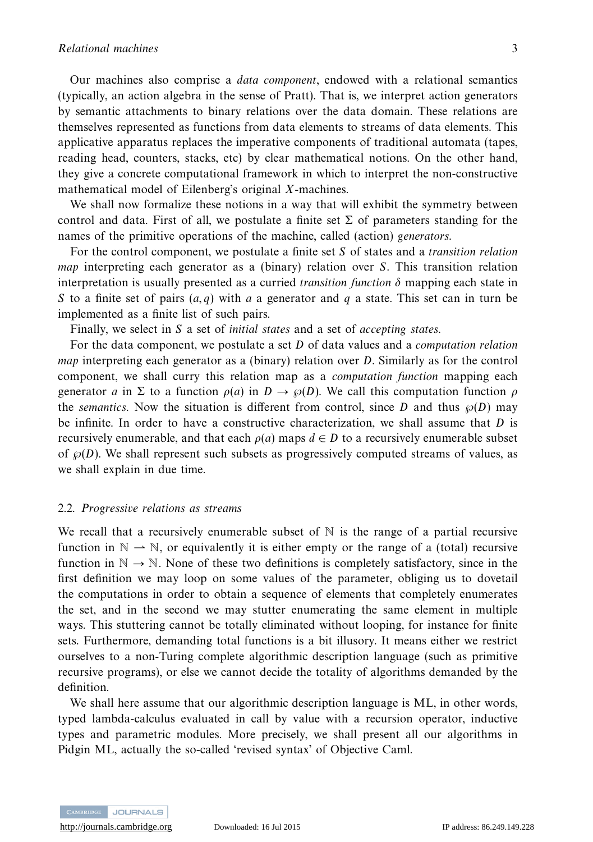Our machines also comprise a data component, endowed with a relational semantics (typically, an action algebra in the sense of Pratt). That is, we interpret action generators by semantic attachments to binary relations over the data domain. These relations are themselves represented as functions from data elements to streams of data elements. This applicative apparatus replaces the imperative components of traditional automata (tapes, reading head, counters, stacks, etc) by clear mathematical notions. On the other hand, they give a concrete computational framework in which to interpret the non-constructive mathematical model of Eilenberg's original *X*-machines.

We shall now formalize these notions in a way that will exhibit the symmetry between control and data. First of all, we postulate a finite set  $\Sigma$  of parameters standing for the names of the primitive operations of the machine, called (action) generators.

For the control component, we postulate a finite set *S* of states and a transition relation map interpreting each generator as a (binary) relation over *S*. This transition relation interpretation is usually presented as a curried *transition function*  $\delta$  mapping each state in *S* to a finite set of pairs (*a, q*) with *a* a generator and *q* a state. This set can in turn be implemented as a finite list of such pairs.

Finally, we select in *S* a set of initial states and a set of accepting states.

For the data component, we postulate a set *D* of data values and a computation relation map interpreting each generator as a (binary) relation over *D*. Similarly as for the control component, we shall curry this relation map as a computation function mapping each generator *a* in Σ to a function  $ρ(a)$  in  $D \rightarrow ϕ(D)$ . We call this computation function  $ρ$ the *semantics*. Now the situation is different from control, since *D* and thus  $\wp(D)$  may be infinite. In order to have a constructive characterization, we shall assume that *D* is recursively enumerable, and that each  $\rho(a)$  maps  $d \in D$  to a recursively enumerable subset of  $\wp(D)$ . We shall represent such subsets as progressively computed streams of values, as we shall explain in due time.

#### 2.2. Progressive relations as streams

We recall that a recursively enumerable subset of  $\mathbb N$  is the range of a partial recursive function in  $\mathbb{N} \to \mathbb{N}$ , or equivalently it is either empty or the range of a (total) recursive function in  $\mathbb{N} \to \mathbb{N}$ . None of these two definitions is completely satisfactory, since in the first definition we may loop on some values of the parameter, obliging us to dovetail the computations in order to obtain a sequence of elements that completely enumerates the set, and in the second we may stutter enumerating the same element in multiple ways. This stuttering cannot be totally eliminated without looping, for instance for finite sets. Furthermore, demanding total functions is a bit illusory. It means either we restrict ourselves to a non-Turing complete algorithmic description language (such as primitive recursive programs), or else we cannot decide the totality of algorithms demanded by the definition.

We shall here assume that our algorithmic description language is ML, in other words, typed lambda-calculus evaluated in call by value with a recursion operator, inductive types and parametric modules. More precisely, we shall present all our algorithms in Pidgin ML, actually the so-called 'revised syntax' of Objective Caml.



<http://journals.cambridge.org> Downloaded: 16 Jul 2015 IP address: 86.249.149.228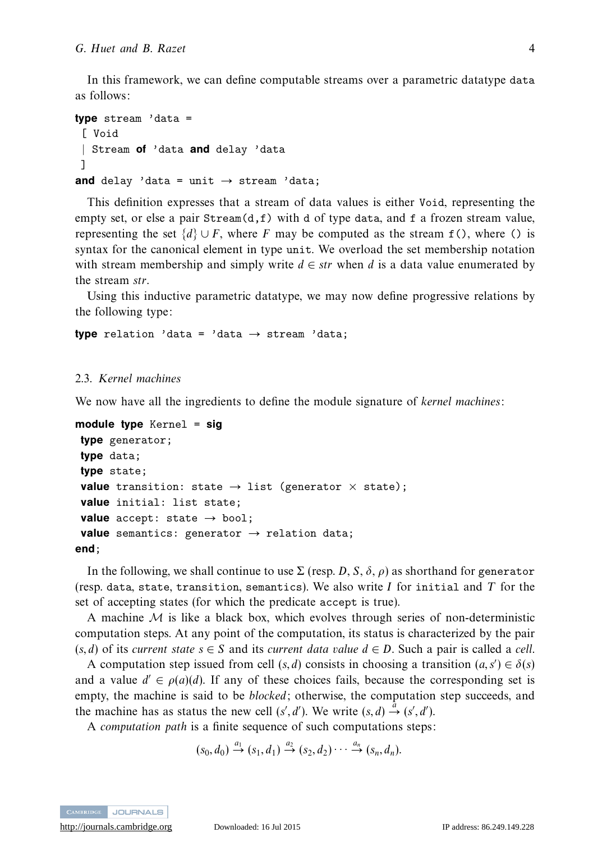In this framework, we can define computable streams over a parametric datatype data as follows:

```
type stream 'data =
 [ Void
 | Stream of 'data and delay 'data
]
and delay 'data = unit \rightarrow stream 'data;
```
This definition expresses that a stream of data values is either Void, representing the empty set, or else a pair  $Stream(d, f)$  with d of type data, and f a frozen stream value, representing the set  $\{d\} \cup F$ , where *F* may be computed as the stream  $f(.)$ , where () is syntax for the canonical element in type unit. We overload the set membership notation with stream membership and simply write  $d \in str$  when  $d$  is a data value enumerated by the stream *str*.

Using this inductive parametric datatype, we may now define progressive relations by the following type:

**type** relation 'data = 'data → stream 'data;

#### 2.3. Kernel machines

We now have all the ingredients to define the module signature of kernel machines:

```
module type Kernel = sig
type generator;
type data;
type state;
 value transition: state \rightarrow list (generator \times state);
value initial: list state;
value accept: state \rightarrow bool;
 value semantics: generator \rightarrow relation data;
end;
```
In the following, we shall continue to use  $\Sigma$  (resp. *D*, *S*, *δ*, *ρ*) as shorthand for generator (resp. data, state, transition, semantics). We also write *I* for initial and *T* for the set of accepting states (for which the predicate accept is true).

A machine  $M$  is like a black box, which evolves through series of non-deterministic computation steps. At any point of the computation, its status is characterized by the pair  $(s, d)$  of its current state  $s \in S$  and its current data value  $d \in D$ . Such a pair is called a cell.

A computation step issued from cell  $(s, d)$  consists in choosing a transition  $(a, s') \in \delta(s)$ and a value  $d' \in \rho(a)(d)$ . If any of these choices fails, because the corresponding set is empty, the machine is said to be *blocked*; otherwise, the computation step succeeds, and the machine has as status the new cell  $(s', d')$ . We write  $(s, d) \stackrel{\hat{a}}{\rightarrow} (s', d')$ .

A computation path is a finite sequence of such computations steps:

 $(s_0, d_0) \stackrel{a_1}{\rightarrow} (s_1, d_1) \stackrel{a_2}{\rightarrow} (s_2, d_2) \cdots \stackrel{a_n}{\rightarrow} (s_n, d_n).$ 

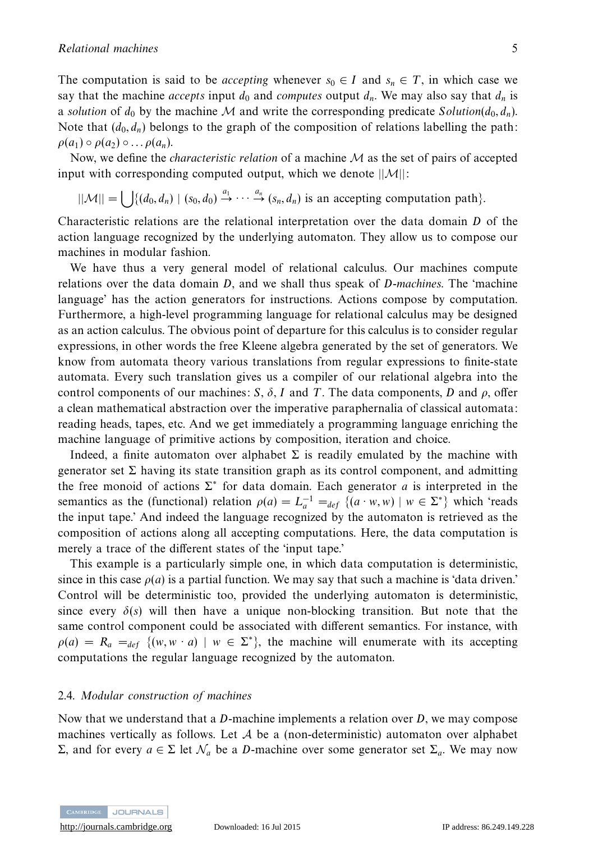The computation is said to be *accepting* whenever  $s_0 \in I$  and  $s_n \in T$ , in which case we say that the machine *accepts* input  $d_0$  and *computes* output  $d_n$ . We may also say that  $d_n$  is a solution of  $d_0$  by the machine M and write the corresponding predicate  $Solution(d_0, d_n)$ . Note that  $(d_0, d_n)$  belongs to the graph of the composition of relations labelling the path:  $\rho(a_1) \circ \rho(a_2) \circ \ldots \rho(a_n)$ .

Now, we define the *characteristic relation* of a machine  $M$  as the set of pairs of accepted input with corresponding computed output, which we denote  $||\mathcal{M}||$ :

 $||M|| = \bigcup \{ (d_0, d_n) \mid (s_0, d_0) \stackrel{a_1}{\rightarrow} \cdots \stackrel{a_n}{\rightarrow} (s_n, d_n) \text{ is an accepting computation path} \}.$ 

Characteristic relations are the relational interpretation over the data domain *D* of the action language recognized by the underlying automaton. They allow us to compose our machines in modular fashion.

We have thus a very general model of relational calculus. Our machines compute relations over the data domain *D*, and we shall thus speak of *D*-machines. The 'machine language' has the action generators for instructions. Actions compose by computation. Furthermore, a high-level programming language for relational calculus may be designed as an action calculus. The obvious point of departure for this calculus is to consider regular expressions, in other words the free Kleene algebra generated by the set of generators. We know from automata theory various translations from regular expressions to finite-state automata. Every such translation gives us a compiler of our relational algebra into the control components of our machines: *S*,  $\delta$ , *I* and *T*. The data components, *D* and  $\rho$ , offer a clean mathematical abstraction over the imperative paraphernalia of classical automata: reading heads, tapes, etc. And we get immediately a programming language enriching the machine language of primitive actions by composition, iteration and choice.

Indeed, a finite automaton over alphabet  $\Sigma$  is readily emulated by the machine with generator set  $\Sigma$  having its state transition graph as its control component, and admitting the free monoid of actions  $\Sigma^*$  for data domain. Each generator *a* is interpreted in the semantics as the (functional) relation  $\rho(a) = L_a^{-1} =_{def} \{ (a \cdot w, w) \mid w \in \Sigma^* \}$  which 'reads the input tape.' And indeed the language recognized by the automaton is retrieved as the composition of actions along all accepting computations. Here, the data computation is merely a trace of the different states of the 'input tape.'

This example is a particularly simple one, in which data computation is deterministic, since in this case  $\rho(a)$  is a partial function. We may say that such a machine is 'data driven.' Control will be deterministic too, provided the underlying automaton is deterministic, since every  $\delta(s)$  will then have a unique non-blocking transition. But note that the same control component could be associated with different semantics. For instance, with  $\rho(a) = R_a =_{def} \{ (w, w \cdot a) \mid w \in \Sigma^* \}$ , the machine will enumerate with its accepting computations the regular language recognized by the automaton.

#### 2.4. Modular construction of machines

Now that we understand that a *D*-machine implements a relation over *D*, we may compose machines vertically as follows. Let  $A$  be a (non-deterministic) automaton over alphabet Σ, and for every *a* ∈ Σ let  $\mathcal{N}_a$  be a *D*-machine over some generator set Σ<sub>*a*</sub>. We may now

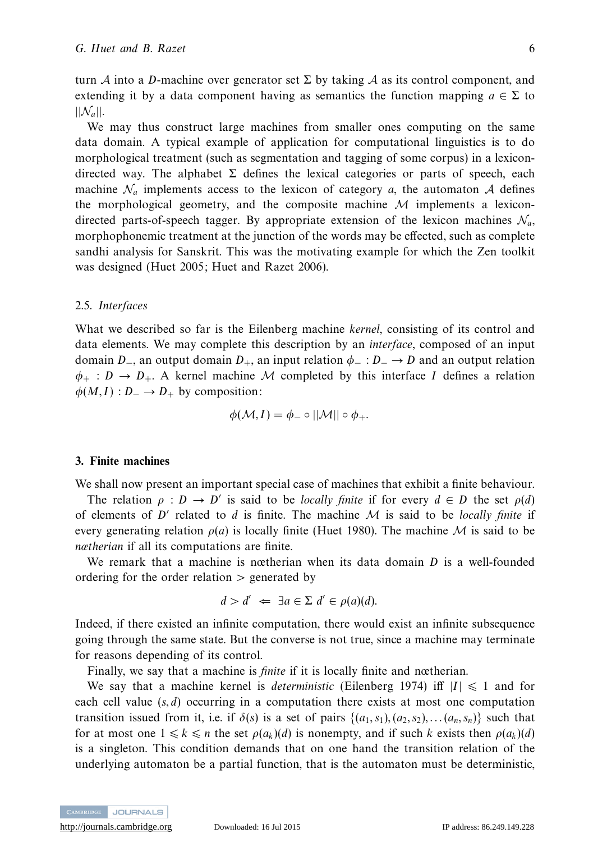turn A into a D-machine over generator set  $\Sigma$  by taking A as its control component, and extending it by a data component having as semantics the function mapping  $a \in \Sigma$  to  $||\mathcal{N}_a||$ .

We may thus construct large machines from smaller ones computing on the same data domain. A typical example of application for computational linguistics is to do morphological treatment (such as segmentation and tagging of some corpus) in a lexicondirected way. The alphabet  $\Sigma$  defines the lexical categories or parts of speech, each machine  $\mathcal{N}_a$  implements access to the lexicon of category *a*, the automaton A defines the morphological geometry, and the composite machine  $M$  implements a lexicondirected parts-of-speech tagger. By appropriate extension of the lexicon machines  $\mathcal{N}_a$ , morphophonemic treatment at the junction of the words may be effected, such as complete sandhi analysis for Sanskrit. This was the motivating example for which the Zen toolkit was designed (Huet 2005; Huet and Razet 2006).

#### 2.5. Interfaces

What we described so far is the Eilenberg machine *kernel*, consisting of its control and data elements. We may complete this description by an interface, composed of an input domain *D*<sub>−</sub>, an output domain *D*<sub>+</sub>, an input relation  $\phi$ <sub>−</sub> : *D*<sub>−</sub> → *D* and an output relation  $\phi_+ : D \to D_+$ . A kernel machine M completed by this interface *I* defines a relation  $\phi(M,I): D_- \to D_+$  by composition:

$$
\phi(\mathcal{M}, I) = \phi_- \circ ||\mathcal{M}|| \circ \phi_+.
$$

#### **3. Finite machines**

We shall now present an important special case of machines that exhibit a finite behaviour.

The relation  $\rho : D \to D'$  is said to be *locally finite* if for every  $d \in D$  the set  $\rho(d)$ of elements of  $D'$  related to *d* is finite. The machine M is said to be *locally finite* if every generating relation  $\rho(a)$  is locally finite (Huet 1980). The machine M is said to be nœtherian if all its computations are finite.

We remark that a machine is nœtherian when its data domain *D* is a well-founded ordering for the order relation *>* generated by

$$
d > d' \iff \exists a \in \Sigma \ d' \in \rho(a)(d).
$$

Indeed, if there existed an infinite computation, there would exist an infinite subsequence going through the same state. But the converse is not true, since a machine may terminate for reasons depending of its control.

Finally, we say that a machine is *finite* if it is locally finite and nœtherian.

We say that a machine kernel is *deterministic* (Eilenberg 1974) if  $|I| \le 1$  and for each cell value (*s, d*) occurring in a computation there exists at most one computation transition issued from it, i.e. if  $\delta(s)$  is a set of pairs  $\{(a_1, s_1), (a_2, s_2), \ldots, (a_n, s_n)\}$  such that for at most one  $1 \leq k \leq n$  the set  $\rho(a_k)(d)$  is nonempty, and if such *k* exists then  $\rho(a_k)(d)$ is a singleton. This condition demands that on one hand the transition relation of the underlying automaton be a partial function, that is the automaton must be deterministic,

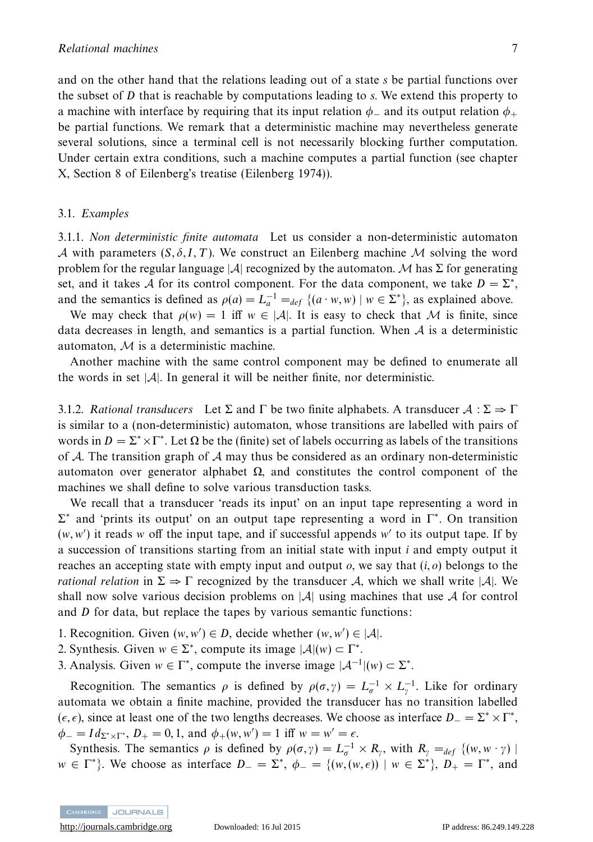and on the other hand that the relations leading out of a state *s* be partial functions over the subset of *D* that is reachable by computations leading to *s*. We extend this property to a machine with interface by requiring that its input relation  $\phi_-\$  and its output relation  $\phi_+\$ be partial functions. We remark that a deterministic machine may nevertheless generate several solutions, since a terminal cell is not necessarily blocking further computation. Under certain extra conditions, such a machine computes a partial function (see chapter X, Section 8 of Eilenberg's treatise (Eilenberg 1974)).

#### 3.1. Examples

3.1.1. Non deterministic finite automata Let us consider a non-deterministic automaton A with parameters  $(S, \delta, I, T)$ . We construct an Eilenberg machine M solving the word problem for the regular language |A| recognized by the automaton. M has  $\Sigma$  for generating set, and it takes A for its control component. For the data component, we take  $D = \Sigma^*$ , and the semantics is defined as  $\rho(a) = L_a^{-1} =_{def} \{ (a \cdot w, w) \mid w \in \Sigma^* \}$ , as explained above.

We may check that  $\rho(w) = 1$  iff  $w \in |\mathcal{A}|$ . It is easy to check that M is finite, since data decreases in length, and semantics is a partial function. When  $A$  is a deterministic automaton,  $M$  is a deterministic machine.

Another machine with the same control component may be defined to enumerate all the words in set  $|\mathcal{A}|$ . In general it will be neither finite, nor deterministic.

3.1.2. Rational transducers Let  $\Sigma$  and  $\Gamma$  be two finite alphabets. A transducer  $A : \Sigma \Rightarrow \Gamma$ is similar to a (non-deterministic) automaton, whose transitions are labelled with pairs of words in  $D = \Sigma^* \times \Gamma^*$ . Let  $\Omega$  be the (finite) set of labels occurring as labels of the transitions of A. The transition graph of A may thus be considered as an ordinary non-deterministic automaton over generator alphabet Ω, and constitutes the control component of the machines we shall define to solve various transduction tasks.

We recall that a transducer 'reads its input' on an input tape representing a word in  $\Sigma^*$  and 'prints its output' on an output tape representing a word in  $\Gamma^*$ . On transition (*w,w* ) it reads *w* off the input tape, and if successful appends *w* to its output tape. If by a succession of transitions starting from an initial state with input *i* and empty output it reaches an accepting state with empty input and output *o*, we say that (*i, o*) belongs to the *rational relation* in  $\Sigma \Rightarrow \Gamma$  recognized by the transducer A, which we shall write |A|. We shall now solve various decision problems on  $|\mathcal{A}|$  using machines that use A for control and *D* for data, but replace the tapes by various semantic functions:

- 1. Recognition. Given  $(w, w') \in D$ , decide whether  $(w, w') \in |A|$ .
- 2. Synthesis. Given  $w \in \Sigma^*$ , compute its image  $|\mathcal{A}|(w) \subset \Gamma^*$ .
- 3. Analysis. Given  $w \in \Gamma^*$ , compute the inverse image  $|A^{-1}|(w) \subset \Sigma^*$ .

Recognition. The semantics  $\rho$  is defined by  $\rho(\sigma, \gamma) = L_{\sigma}^{-1} \times L_{\gamma}^{-1}$ . Like for ordinary automata we obtain a finite machine, provided the transducer has no transition labelled ( $\epsilon$ ,  $\epsilon$ ), since at least one of the two lengths decreases. We choose as interface *D* − =  $\Sigma^* \times \Gamma^*$ ,  $\phi_{-} = Id_{\Sigma^* \times \Gamma^*}, D_{+} = 0, 1, \text{ and } \phi_{+}(w, w') = 1 \text{ iff } w = w' = \epsilon.$ 

Synthesis. The semantics  $\rho$  is defined by  $\rho(\sigma, \gamma) = L_{\sigma}^{-1} \times R_{\gamma}$ , with  $R_{\gamma} =_{def} \{(w, w \cdot \gamma) \mid$  $w \in \Gamma^*$ . We choose as interface  $D = \Sigma^*$ ,  $\phi = \{(w, (w, \epsilon)) \mid w \in \Sigma^*\}$ ,  $D_+ = \Gamma^*$ , and

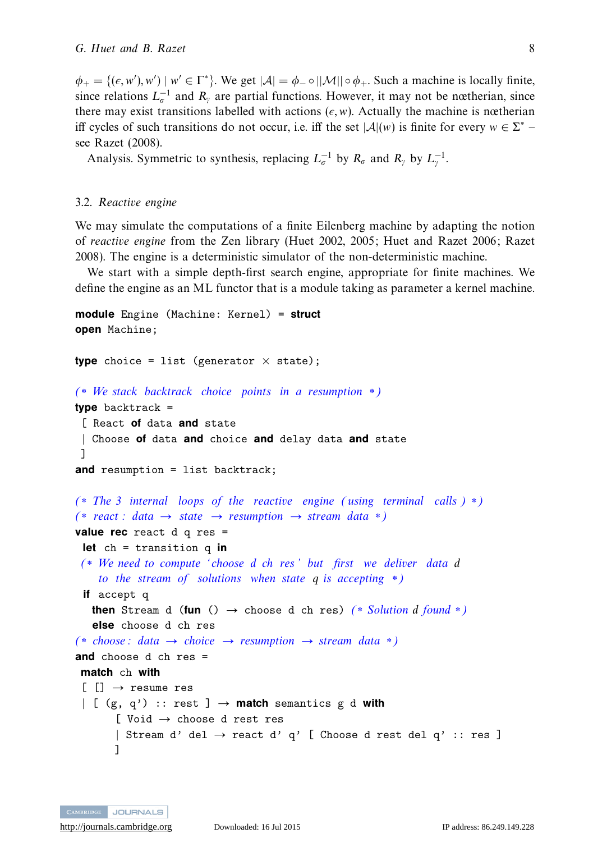$\phi_+ = \{(\epsilon, w'), w' \mid w' \in \Gamma^*\}$ . We get  $|\mathcal{A}| = \phi_- \circ ||\mathcal{M}|| \circ \phi_+$ . Such a machine is locally finite, since relations  $L_{\sigma}^{-1}$  and  $R_{\gamma}$  are partial functions. However, it may not be nœtherian, since there may exist transitions labelled with actions  $(\epsilon, w)$ . Actually the machine is nœtherian iff cycles of such transitions do not occur, i.e. iff the set  $|\mathcal{A}|(w)$  is finite for every  $w \in \Sigma^*$ see Razet (2008).

Analysis. Symmetric to synthesis, replacing  $L_{\sigma}^{-1}$  by  $R_{\sigma}$  and  $R_{\gamma}$  by  $L_{\gamma}^{-1}$ .

#### 3.2. Reactive engine

We may simulate the computations of a finite Eilenberg machine by adapting the notion of reactive engine from the Zen library (Huet 2002, 2005; Huet and Razet 2006; Razet 2008). The engine is a deterministic simulator of the non-deterministic machine.

We start with a simple depth-first search engine, appropriate for finite machines. We define the engine as an ML functor that is a module taking as parameter a kernel machine.

```
module Engine (Machine: Kernel) = struct
open Machine;
type choice = list (generator \times state);
(∗ We stack backtrack choice points in a resumption ∗)
type backtrack =
 [ React of data and state
| Choose of data and choice and delay data and state
]
and resumption = list backtrack;
(∗ The 3 internal loops of the reactive engine (using terminal calls ) ∗)
(* react : data → state → resumption → stream data *)
value rec react d q res =
 let ch = transition q in
(∗ We need to compute ' choose d ch res ' but first we deliver data d
    to the stream of solutions when state q is accepting ∗)
 if accept q
  then Stream d (fun () \rightarrow choose d ch res) (* Solution d found *)
   else choose d ch res
(* choose: data → choice → resumption → stream data *)
and choose d ch res =
match ch with
 [[] \rightarrow \text{resume} \text{res}\vert [ (g, q') :: rest ] \rightarrow match semantics g d with
       [ Void \rightarrow choose d rest res
       | Stream d' del \rightarrow react d' q' [ Choose d rest del q' :: res ]
       ]
```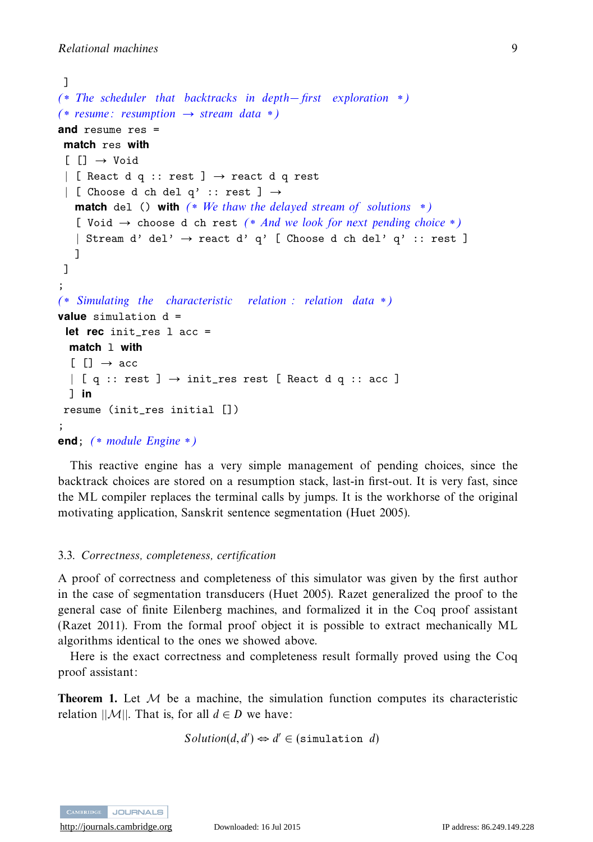```
]
(∗ The scheduler that backtracks in depth− first exploration ∗)
(* resume: resumption → stream data *)and resume res =
 match res with
 [] \rightarrow Void
 | [ React d q :: rest ] → react d q rest
 | [ Choose d ch del q' :: rest ] \rightarrowmatch del () with (* We thaw the delayed stream of solutions *)
   [ Void \rightarrow choose d ch rest (* And we look for next pending choice *)
   | Stream d' del' \rightarrow react d' q' [ Choose d ch del' q' :: rest ]
   ]
 ]
;
(∗ Simulating the characteristic relation : relation data ∗)
value simulation d =
 let rec init res 1 acc =
  match l with
  \lceil \cdot \rceil \rceil \rightarrow acc\vert [ q :: rest ] \rightarrow init_res rest [ React d q :: acc ]
  ] in
resume (init_res initial [])
;
end; (∗ module Engine ∗)
```
This reactive engine has a very simple management of pending choices, since the backtrack choices are stored on a resumption stack, last-in first-out. It is very fast, since the ML compiler replaces the terminal calls by jumps. It is the workhorse of the original motivating application, Sanskrit sentence segmentation (Huet 2005).

#### 3.3. Correctness, completeness, certification

A proof of correctness and completeness of this simulator was given by the first author in the case of segmentation transducers (Huet 2005). Razet generalized the proof to the general case of finite Eilenberg machines, and formalized it in the Coq proof assistant (Razet 2011). From the formal proof object it is possible to extract mechanically ML algorithms identical to the ones we showed above.

Here is the exact correctness and completeness result formally proved using the Coq proof assistant:

**Theorem 1.** Let  $M$  be a machine, the simulation function computes its characteristic relation  $||\mathcal{M}||$ . That is, for all  $d \in D$  we have:

$$
Solution(d, d') \Leftrightarrow d' \in (simulation \ d)
$$

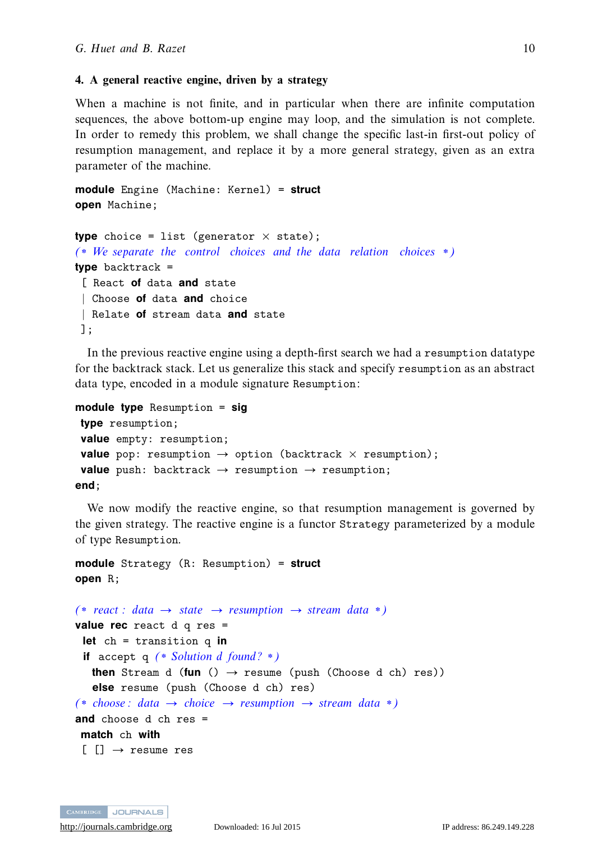#### **4. A general reactive engine, driven by a strategy**

When a machine is not finite, and in particular when there are infinite computation sequences, the above bottom-up engine may loop, and the simulation is not complete. In order to remedy this problem, we shall change the specific last-in first-out policy of resumption management, and replace it by a more general strategy, given as an extra parameter of the machine.

**module** Engine (Machine: Kernel) = **struct open** Machine;

```
type choice = list (generator \times state);
(∗ We separate the control choices and the data relation choices ∗)
type backtrack =
 [ React of data and state
 | Choose of data and choice
 | Relate of stream data and state
];
```
In the previous reactive engine using a depth-first search we had a resumption datatype for the backtrack stack. Let us generalize this stack and specify resumption as an abstract data type, encoded in a module signature Resumption:

```
module type Resumption = sig
type resumption;
value empty: resumption;
 value pop: resumption \rightarrow option (backtrack \times resumption);
 value push: backtrack \rightarrow resumption \rightarrow resumption;
end;
```
We now modify the reactive engine, so that resumption management is governed by the given strategy. The reactive engine is a functor Strategy parameterized by a module of type Resumption.

```
module Strategy (R: Resumption) = struct
open R;
```

```
(* react : data → state → resumption → stream data *)
value rec react d q res =
 let ch = transition q in
 if accept q (∗ Solution d found? ∗)
   then Stream d (fun () \rightarrow resume (push (Choose d ch) res))
   else resume (push (Choose d ch) res)
(* choose : data → choice → resumption → stream data *)
and choose d ch res =
match ch with
 \lceil \lceil \cdot \rceil \rightarrow resume res
```
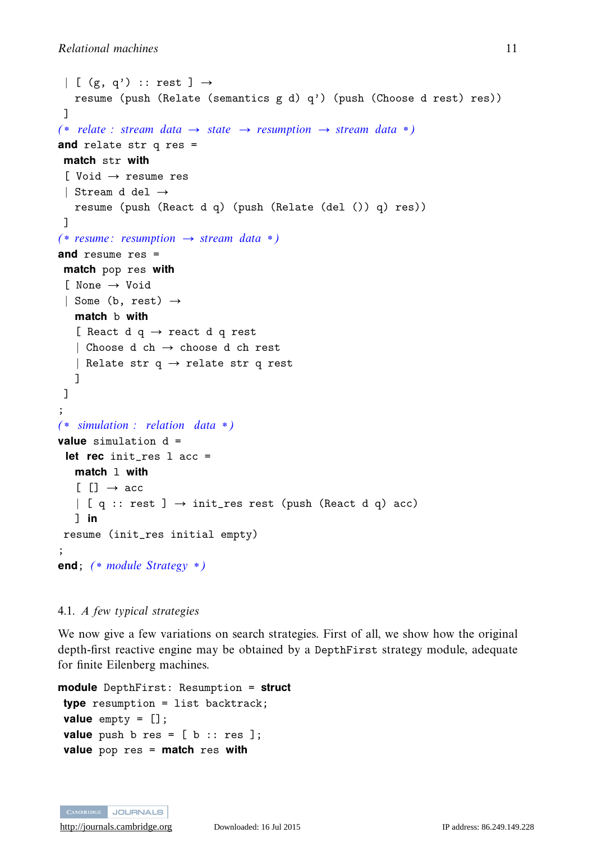```
\vert [ (g, q') :: rest ] \rightarrowresume (push (Relate (semantics g d) q') (push (Choose d rest) res))
 ]
(* relate : stream data \rightarrow state \rightarrow resumption \rightarrow stream data *)
and relate str q res =
 match str with
 [ Void → resume res
 | Stream d del →
   resume (push (React d q) (push (Relate (del ()) q) res))
 ]
(* resume: resumption → stream data *)
and resume res =
 match pop res with
 [ None → Void
 | Some (b, rest) \rightarrowmatch b with
   [ React d q \rightarrow react d q rest
   | Choose d ch → choose d ch rest
   | Relate str q \rightarrow relate str q rest
   ]
]
;
(∗ simulation : relation data ∗)
value simulation d =
 let rec init res 1 acc =
  match l with
   [[] \rightarrow acc\vert [ q :: rest ] \rightarrow init_res rest (push (React d q) acc)
   ] in
resume (init_res initial empty)
;
end; (∗ module Strategy ∗)
```
#### 4.1. A few typical strategies

We now give a few variations on search strategies. First of all, we show how the original depth-first reactive engine may be obtained by a DepthFirst strategy module, adequate for finite Eilenberg machines.

```
module DepthFirst: Resumption = struct
type resumption = list backtrack;
value empty = [];
value push b res = [b :: res];
value pop res = match res with
```
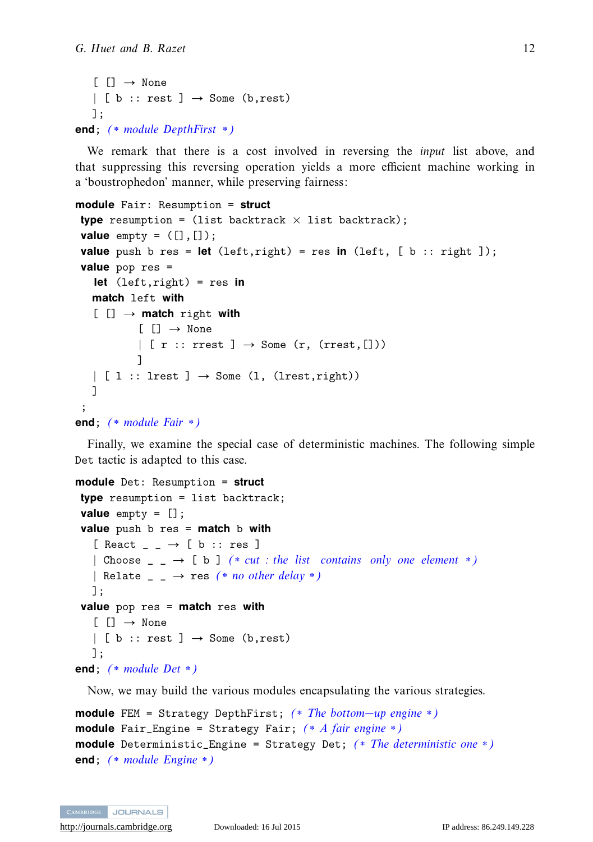```
[ ] \rightarrow None| [ b :: rest ] \rightarrow Some (b, rest)
   ];
end; (∗ module DepthFirst ∗)
```
We remark that there is a cost involved in reversing the input list above, and that suppressing this reversing operation yields a more efficient machine working in a 'boustrophedon' manner, while preserving fairness:

```
module Fair: Resumption = struct
type resumption = (list backtrack \times list backtrack);
value empty = ([],[]);
value push b res = let (left,right) = res in (left, [b : : right ]);
value pop res =
   let (left,right) = res in
  match left with
   [ [] → match right with
           [[] \rightarrow None| [ r :: rrest ] \rightarrow Some (r, (rrest, []))
           ]
  | [ 1 :: lrest ] \rightarrow Some (1, (lrest, right))
  ]
 ;
end; (∗ module Fair ∗)
```
Finally, we examine the special case of deterministic machines. The following simple Det tactic is adapted to this case.

```
module Det: Resumption = struct
type resumption = list backtrack;
value empty = [];
value push b res = match b with
   [ React _ _ \rightarrow [ b :: res ]
   | Choose \Box \rightarrow [b] (* cut : the list contains only one element *)
   | Relate \Box \rightarrow res (* no other delay *)
   ];
value pop res = match res with
   [] \rightarrow None
   | [ b :: rest ] \rightarrow Some (b, rest)
   ];
end; (∗ module Det ∗)
```
Now, we may build the various modules encapsulating the various strategies.

```
module FEM = Strategy DepthFirst; (∗ The bottom−up engine ∗)
module Fair_Engine = Strategy Fair; (∗ A fair engine ∗)
module Deterministic_Engine = Strategy Det; (∗ The deterministic one ∗)
end; (∗ module Engine ∗)
```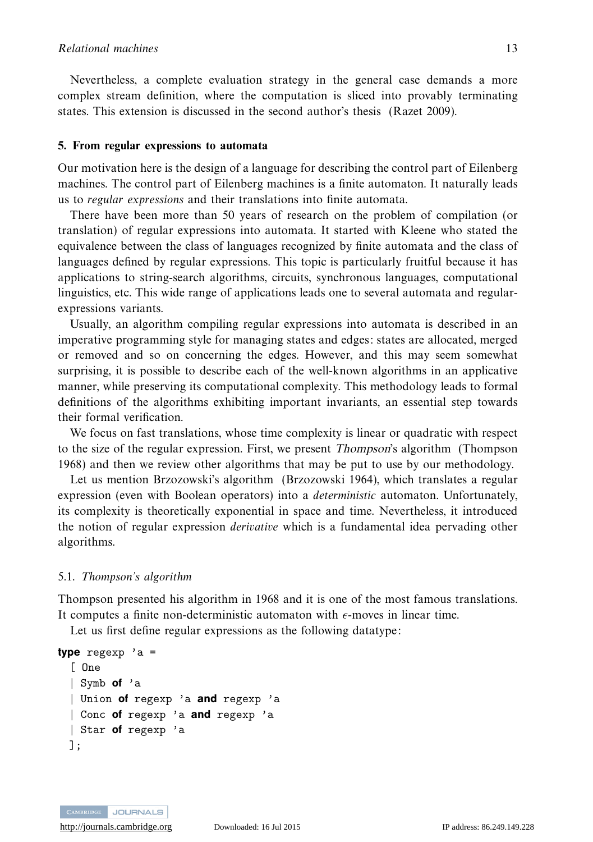Nevertheless, a complete evaluation strategy in the general case demands a more complex stream definition, where the computation is sliced into provably terminating states. This extension is discussed in the second author's thesis (Razet 2009).

#### **5. From regular expressions to automata**

Our motivation here is the design of a language for describing the control part of Eilenberg machines. The control part of Eilenberg machines is a finite automaton. It naturally leads us to regular expressions and their translations into finite automata.

There have been more than 50 years of research on the problem of compilation (or translation) of regular expressions into automata. It started with Kleene who stated the equivalence between the class of languages recognized by finite automata and the class of languages defined by regular expressions. This topic is particularly fruitful because it has applications to string-search algorithms, circuits, synchronous languages, computational linguistics, etc. This wide range of applications leads one to several automata and regularexpressions variants.

Usually, an algorithm compiling regular expressions into automata is described in an imperative programming style for managing states and edges: states are allocated, merged or removed and so on concerning the edges. However, and this may seem somewhat surprising, it is possible to describe each of the well-known algorithms in an applicative manner, while preserving its computational complexity. This methodology leads to formal definitions of the algorithms exhibiting important invariants, an essential step towards their formal verification.

We focus on fast translations, whose time complexity is linear or quadratic with respect to the size of the regular expression. First, we present *Thompson*'s algorithm (Thompson 1968) and then we review other algorithms that may be put to use by our methodology.

Let us mention Brzozowski's algorithm (Brzozowski 1964), which translates a regular expression (even with Boolean operators) into a *deterministic* automaton. Unfortunately, its complexity is theoretically exponential in space and time. Nevertheless, it introduced the notion of regular expression derivative which is a fundamental idea pervading other algorithms.

#### 5.1. Thompson's algorithm

Thompson presented his algorithm in 1968 and it is one of the most famous translations. It computes a finite non-deterministic automaton with  $\epsilon$ -moves in linear time.

Let us first define regular expressions as the following datatype:

```
type regexp 'a =
 [ One
 | Symb of 'a
 | Union of regexp 'a and regexp 'a
  | Conc of regexp 'a and regexp 'a
 | Star of regexp 'a
 ];
```
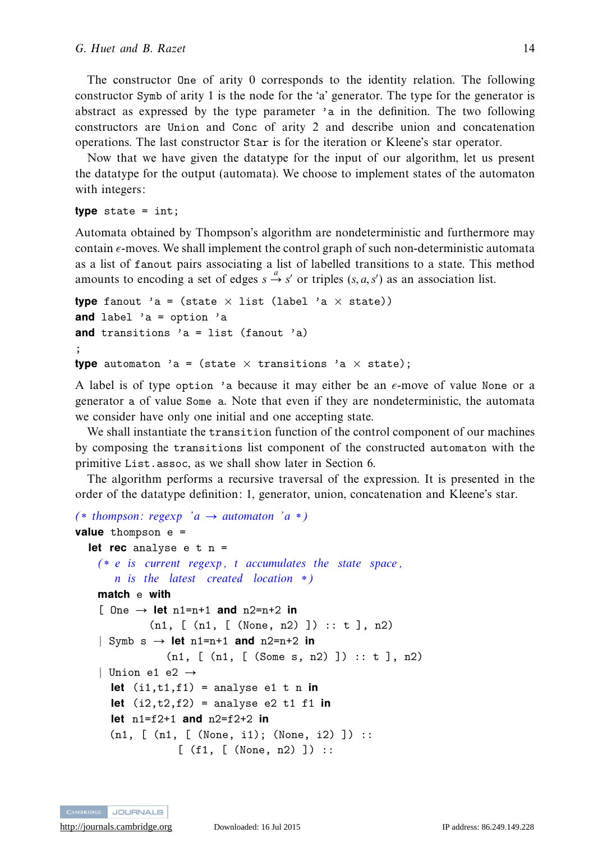The constructor One of arity 0 corresponds to the identity relation. The following constructor Symb of arity 1 is the node for the 'a' generator. The type for the generator is abstract as expressed by the type parameter 'a in the definition. The two following constructors are Union and Conc of arity 2 and describe union and concatenation operations. The last constructor Star is for the iteration or Kleene's star operator.

Now that we have given the datatype for the input of our algorithm, let us present the datatype for the output (automata). We choose to implement states of the automaton with integers:

**type** state = int;

Automata obtained by Thompson's algorithm are nondeterministic and furthermore may contain -moves. We shall implement the control graph of such non-deterministic automata as a list of fanout pairs associating a list of labelled transitions to a state. This method amounts to encoding a set of edges  $s \stackrel{a}{\rightarrow} s'$  or triples  $(s, a, s')$  as an association list.

```
type fanout 'a = (state \times list (label 'a \times state))
and label 'a = option 'a
and transitions 'a = list (fanout 'a)
;
type automaton 'a = (state \times transitions 'a \times state);
```
A label is of type option 'a because it may either be an -move of value None or a generator a of value Some a. Note that even if they are nondeterministic, the automata we consider have only one initial and one accepting state.

We shall instantiate the transition function of the control component of our machines by composing the transitions list component of the constructed automaton with the primitive List.assoc, as we shall show later in Section 6.

The algorithm performs a recursive traversal of the expression. It is presented in the order of the datatype definition: 1, generator, union, concatenation and Kleene's star.

```
(* thompson: regexp 'a \rightarrow automaton 'a *)
value thompson e =
  let rec analyse e t n =
   (* e is current regexp, t accumulates the state space,n is the latest created location *)
   match e with
    [ One \rightarrow let n1=n+1 and n2=n+2 in
             (n1, [ (n1, [ (None, n2) ]) :: t ], n2)
    \vert Symb s \rightarrow let n1=n+1 and n2=n+2 in
                (n1, [ (n1, [ (Some s, n2) ]) :: t ], n2)
    | Union e1 e2 \rightarrowlet (i1,t1,f1) = analysee1 t n inlet (i2, t2, f2) = \text{analysis} e2 t1 f1 in
      let n1=f2+1 and n2=f2+2 in
      (n1, [ (n1, [ (None, i1); (None, i2) ]) ::
                  [ (f1, [ (None, n2) ]) ::
```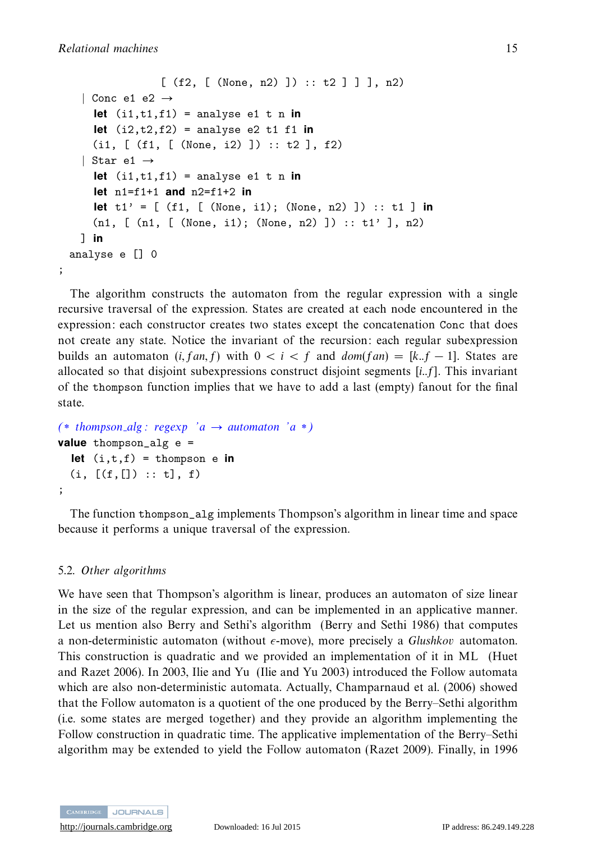;

```
[ (f2, [ (None, n2) ] ) :: t2 ] ] ], n2)
  | Conc e1 e2 \rightarrowlet (i1, t1, f1) = analyse e1 t n in
    let (i2,t2,f2) = analyse e2 t1 f1 in
    (i1, [ (f1, [ (None, i2) ]) :: t2 ], f2)
  | Star e1 →
    let (i1, t1, f1) = analyse e1 t n in
    let n1=f1+1 and n2=f1+2 in
    let t1' = [ (f1, [ (None, i1); (None, n2) ]) :: t1 ] in
    (n1, [\text{m1}, [\text{None}, i1); (\text{None}, n2)]): t1', n2)
  ] in
analyse e [] 0
```
The algorithm constructs the automaton from the regular expression with a single recursive traversal of the expression. States are created at each node encountered in the expression: each constructor creates two states except the concatenation Conc that does not create any state. Notice the invariant of the recursion: each regular subexpression builds an automaton (*i, fan, f*) with  $0 < i < f$  and  $dom(fan) = [k..f - 1]$ . States are allocated so that disjoint subexpressions construct disjoint segments [*i..f*]. This invariant of the thompson function implies that we have to add a last (empty) fanout for the final state.

```
(* thompson_alg : regexp 'a \rightarrow automaton 'a *)
value thompson_alg e =
  let (i,t,f) = thompson e in
  (i, [(f, []):: t], f);
```
The function thompson\_alg implements Thompson's algorithm in linear time and space because it performs a unique traversal of the expression.

### 5.2. Other algorithms

We have seen that Thompson's algorithm is linear, produces an automaton of size linear in the size of the regular expression, and can be implemented in an applicative manner. Let us mention also Berry and Sethi's algorithm (Berry and Sethi 1986) that computes a non-deterministic automaton (without  $\epsilon$ -move), more precisely a *Glushkov* automaton. This construction is quadratic and we provided an implementation of it in ML (Huet and Razet 2006). In 2003, Ilie and Yu (Ilie and Yu 2003) introduced the Follow automata which are also non-deterministic automata. Actually, Champarnaud et al. (2006) showed that the Follow automaton is a quotient of the one produced by the Berry–Sethi algorithm (i.e. some states are merged together) and they provide an algorithm implementing the Follow construction in quadratic time. The applicative implementation of the Berry–Sethi algorithm may be extended to yield the Follow automaton (Razet 2009). Finally, in 1996

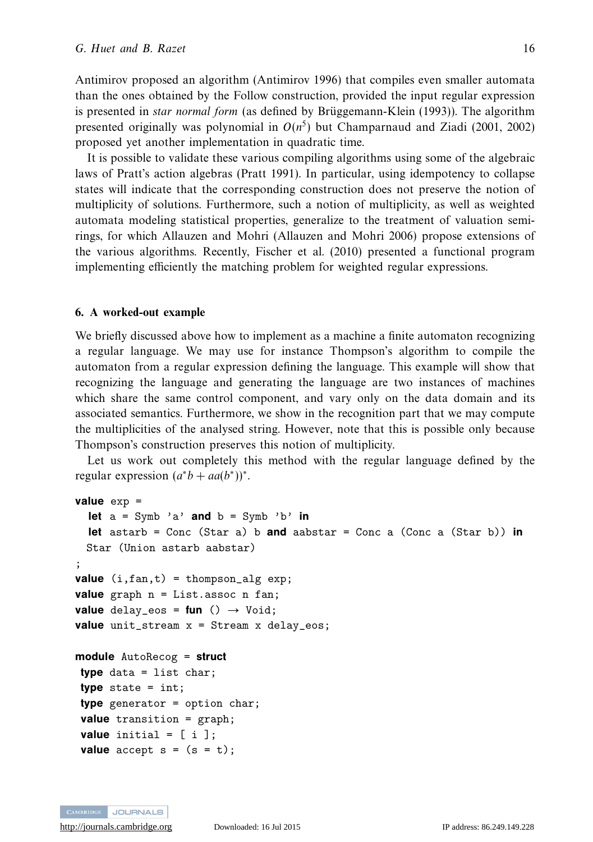Antimirov proposed an algorithm (Antimirov 1996) that compiles even smaller automata than the ones obtained by the Follow construction, provided the input regular expression is presented in *star normal form* (as defined by Brüggemann-Klein  $(1993)$ ). The algorithm presented originally was polynomial in  $O(n^5)$  but Champarnaud and Ziadi (2001, 2002) proposed yet another implementation in quadratic time.

It is possible to validate these various compiling algorithms using some of the algebraic laws of Pratt's action algebras (Pratt 1991). In particular, using idempotency to collapse states will indicate that the corresponding construction does not preserve the notion of multiplicity of solutions. Furthermore, such a notion of multiplicity, as well as weighted automata modeling statistical properties, generalize to the treatment of valuation semirings, for which Allauzen and Mohri (Allauzen and Mohri 2006) propose extensions of the various algorithms. Recently, Fischer et al. (2010) presented a functional program implementing efficiently the matching problem for weighted regular expressions.

#### **6. A worked-out example**

We briefly discussed above how to implement as a machine a finite automaton recognizing a regular language. We may use for instance Thompson's algorithm to compile the automaton from a regular expression defining the language. This example will show that recognizing the language and generating the language are two instances of machines which share the same control component, and vary only on the data domain and its associated semantics. Furthermore, we show in the recognition part that we may compute the multiplicities of the analysed string. However, note that this is possible only because Thompson's construction preserves this notion of multiplicity.

Let us work out completely this method with the regular language defined by the regular expression  $(a^*b + aa(b^*))^*$ .

```
value exp =
 let a = Symb 'a' and b = Symb 'b' in
 let astarb = Conc (Star a) b and aabstar = Conc a (Conc a (Star b)) in
 Star (Union astarb aabstar)
;
value (i,fan,t) = thompson_alg exp;
value graph n = List.assoc n fan;
value delay_eos = fun () \rightarrow Void;
value unit_stream x = Stream x delay_eos;
module AutoRecog = struct
type data = list char;
type state = int;
type generator = option char;
value transition = graph;
value initial = [ i ];
value accept s = (s = t);
```
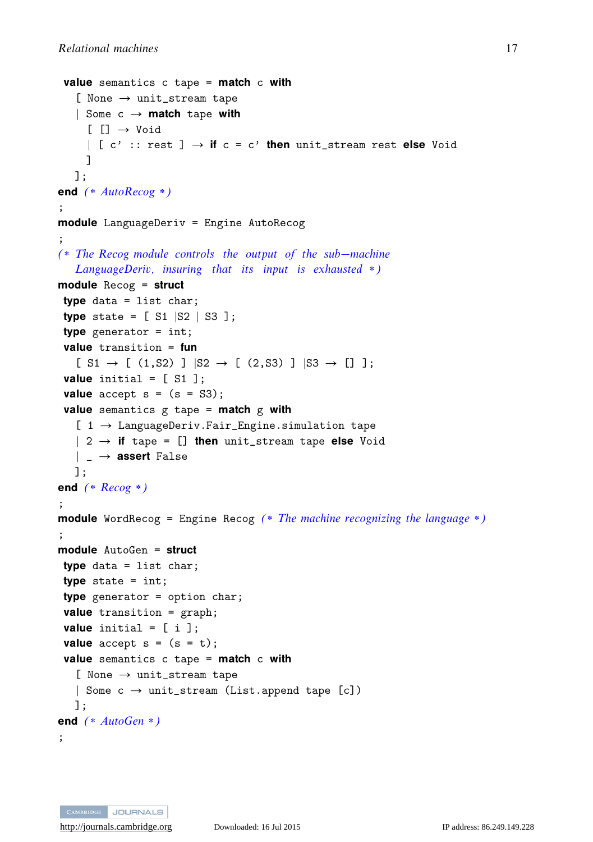```
value semantics c tape = match c with
   [ None \rightarrow unit_stream tape
   | Some c → match tape with
     [[] \rightarrow Void| [ c' :: rest ] → if c = c' then unit_stream rest else Void
    ]
  ];
end (∗ AutoRecog ∗)
;
module LanguageDeriv = Engine AutoRecog
;
(∗ The Recog module controls the output of the sub−machine
   LanguageDeriv, insuring that its input is exhausted ∗)
module Recog = struct
type data = list char;
type state = [ S1 |S2 | S3 ];
type generator = int;
value transition = fun
   [ S1 \rightarrow [ (1, S2) ] | S2 \rightarrow [ (2, S3) ] | S3 \rightarrow [ ] ];value initial = [ S1 ];
value accept s = (s = S3);value semantics g tape = match g with
   [ 1 \rightarrow LanguageDeriv. Fair_Engine.simulation tape
   | 2 → if tape = [] then unit_stream tape else Void
   | _ → assert False
  ];
end (∗ Recog ∗)
;
module WordRecog = Engine Recog (* The machine recognizing the language *)
;
module AutoGen = struct
type data = list char;
type state = int;
type generator = option char;
value transition = graph;
value initial = [i];
value accept s = (s = t);value semantics c tape = match c with
   [ None \rightarrow unit_stream tape
   | Some c \rightarrow \text{unit}\_ \text{stream} (List.append tape [c])
  ];
end (∗ AutoGen ∗)
;
```
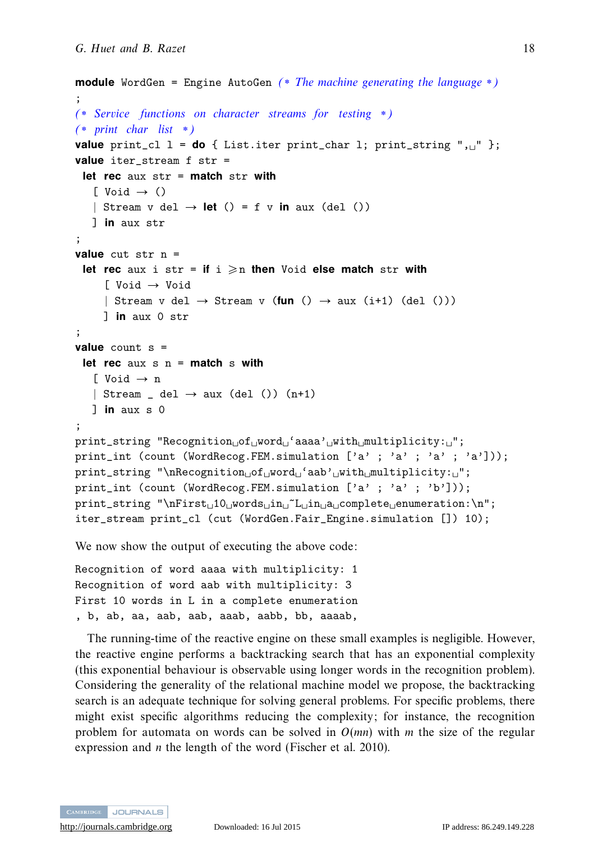```
module WordGen = Engine AutoGen (* The machine generating the language *)
;
(∗ Service functions on character streams for testing ∗)
(∗ print char list ∗)
value print_cl 1 = do { List.iter print(char 1; print_string ", " };value iter_stream f str =
 let rec aux str = match str with
   \lceil Void \rightarrow ()
   | Stream v del \rightarrow let () = f v in aux (del ())
   ] in aux str
;
value cut str n =
 let rec aux i str = if i \ge n then Void else match str with
      [ Void → Void
     | Stream v del \rightarrow Stream v (fun () \rightarrow aux (i+1) (del ()))
     ] in aux 0 str
;
value count s =
 let rec aux s n = match s with
   \lceil Void \rightarrow n
   | Stream del \rightarrow aux (del ()) (n+1)
   ] in aux s 0
;
\texttt{print\_string} "Recognition_{\sqcup}of_{\sqcup}word_{\sqcup}ʻaaaa'_{\sqcup}with_{\sqcup}multiplicity:_{\sqcup}";
print_int (count (WordRecog.FEM.simulation [ 'a' ; 'a' ; 'a' ; 'a'] ));
print_string "\nRecognition_of_word_'aab'_with_multiplicity:_";
print_int (count (WordRecog.FEM.simulation ['a' ; 'a' ; 'b']));
print_string "\nFirst<sub>⊔</sub>10<sub>⊔</sub>words<sub>⊔</sub>in<sub>⊔</sub>~L<sub>U</sub>in<sub>⊔</sub>a<sub>⊔</sub>complete<sub>⊔</sub>enumeration:\n";
iter_stream print_cl (cut (WordGen.Fair_Engine.simulation []) 10);
```
We now show the output of executing the above code:

Recognition of word aaaa with multiplicity: 1 Recognition of word aab with multiplicity: 3 First 10 words in L in a complete enumeration , b, ab, aa, aab, aab, aaab, aabb, bb, aaaab,

The running-time of the reactive engine on these small examples is negligible. However, the reactive engine performs a backtracking search that has an exponential complexity (this exponential behaviour is observable using longer words in the recognition problem). Considering the generality of the relational machine model we propose, the backtracking search is an adequate technique for solving general problems. For specific problems, there might exist specific algorithms reducing the complexity; for instance, the recognition problem for automata on words can be solved in *O*(*mn*) with *m* the size of the regular expression and *n* the length of the word (Fischer et al. 2010).

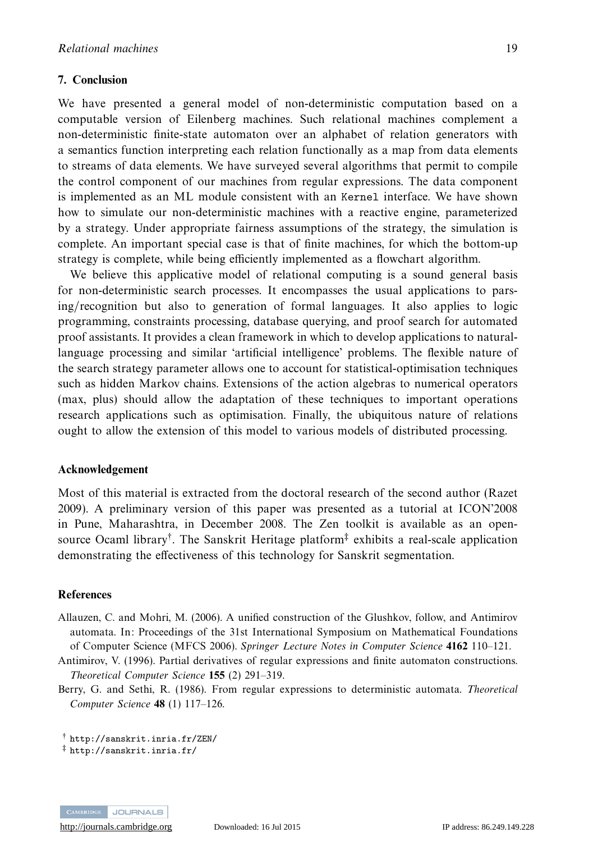#### **7. Conclusion**

We have presented a general model of non-deterministic computation based on a computable version of Eilenberg machines. Such relational machines complement a non-deterministic finite-state automaton over an alphabet of relation generators with a semantics function interpreting each relation functionally as a map from data elements to streams of data elements. We have surveyed several algorithms that permit to compile the control component of our machines from regular expressions. The data component is implemented as an ML module consistent with an Kernel interface. We have shown how to simulate our non-deterministic machines with a reactive engine, parameterized by a strategy. Under appropriate fairness assumptions of the strategy, the simulation is complete. An important special case is that of finite machines, for which the bottom-up strategy is complete, while being efficiently implemented as a flowchart algorithm.

We believe this applicative model of relational computing is a sound general basis for non-deterministic search processes. It encompasses the usual applications to parsing/recognition but also to generation of formal languages. It also applies to logic programming, constraints processing, database querying, and proof search for automated proof assistants. It provides a clean framework in which to develop applications to naturallanguage processing and similar 'artificial intelligence' problems. The flexible nature of the search strategy parameter allows one to account for statistical-optimisation techniques such as hidden Markov chains. Extensions of the action algebras to numerical operators (max, plus) should allow the adaptation of these techniques to important operations research applications such as optimisation. Finally, the ubiquitous nature of relations ought to allow the extension of this model to various models of distributed processing.

#### **Acknowledgement**

Most of this material is extracted from the doctoral research of the second author (Razet 2009). A preliminary version of this paper was presented as a tutorial at ICON'2008 in Pune, Maharashtra, in December 2008. The Zen toolkit is available as an opensource Ocaml library<sup>†</sup>. The Sanskrit Heritage platform<sup>‡</sup> exhibits a real-scale application demonstrating the effectiveness of this technology for Sanskrit segmentation.

#### **References**

Allauzen, C. and Mohri, M. (2006). A unified construction of the Glushkov, follow, and Antimirov automata. In: Proceedings of the 31st International Symposium on Mathematical Foundations of Computer Science (MFCS 2006). Springer Lecture Notes in Computer Science **4162** 110–121.

Antimirov, V. (1996). Partial derivatives of regular expressions and finite automaton constructions. Theoretical Computer Science **155** (2) 291–319.

Berry, G. and Sethi, R. (1986). From regular expressions to deterministic automata. Theoretical Computer Science **48** (1) 117–126.

```
† http://sanskrit.inria.fr/ZEN/
```

```
‡ http://sanskrit.inria.fr/
```